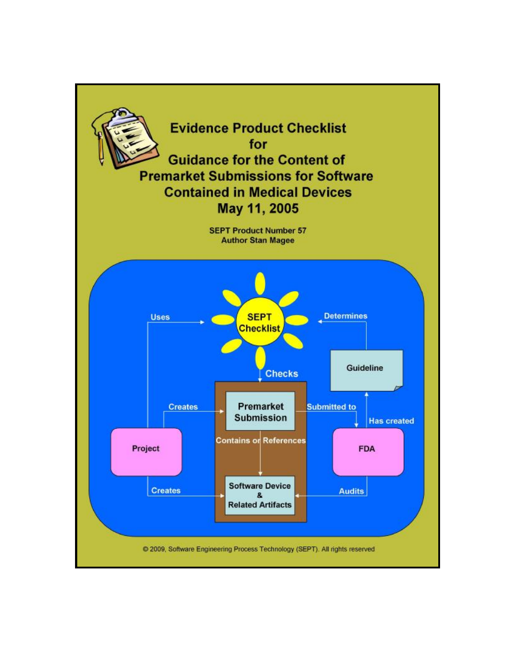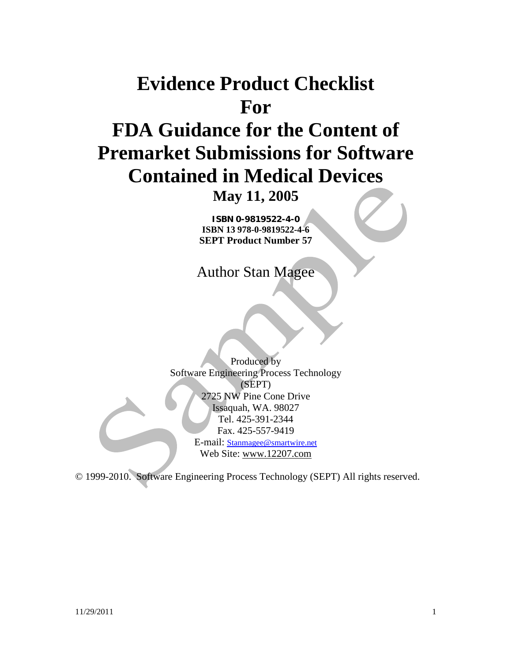# **Evidence Product Checklist For FDA Guidance for the Content of Premarket Submissions for Software Contained in Medical Devices**

**May 11, 2005** 

**ISBN 0-9819522-4-0 ISBN 13 978-0-9819522-4-6 SEPT Product Number 57** 

Author Stan Magee

Produced by Software Engineering Process Technology (SEPT) 2725 NW Pine Cone Drive Issaquah, WA. 98027 Tel. 425-391-2344 Fax. 425-557-9419 E-mail: [Stanmagee@smartwire.net](mailto:Stanmagee@smartwire.net)

Web Site: [www.12207.com](http://www.12207.com)

© 1999-2010. Software Engineering Process Technology (SEPT) All rights reserved.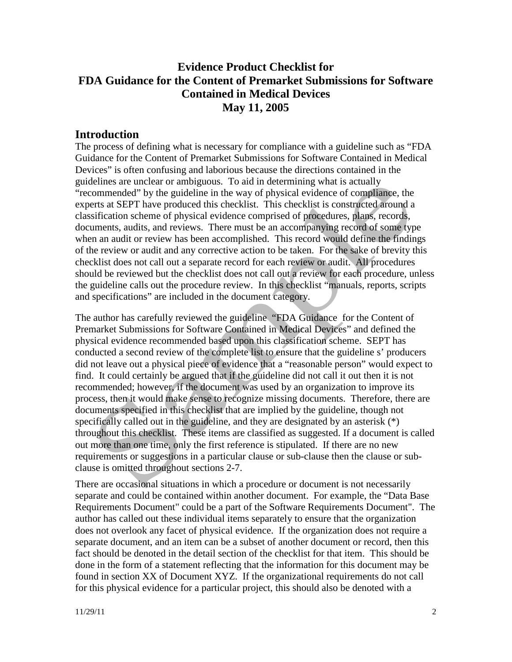# **Evidence Product Checklist for FDA Guidance for the Content of Premarket Submissions for Software Contained in Medical Devices May 11, 2005**

### **Introduction**

The process of defining what is necessary for compliance with a guideline such as "FDA Guidance for the Content of Premarket Submissions for Software Contained in Medical Devices" is often confusing and laborious because the directions contained in the guidelines are unclear or ambiguous. To aid in determining what is actually "recommended" by the guideline in the way of physical evidence of compliance, the experts at SEPT have produced this checklist. This checklist is constructed around a classification scheme of physical evidence comprised of procedures, plans, records, documents, audits, and reviews. There must be an accompanying record of some type when an audit or review has been accomplished. This record would define the findings of the review or audit and any corrective action to be taken. For the sake of brevity this checklist does not call out a separate record for each review or audit. All procedures should be reviewed but the checklist does not call out a review for each procedure, unless the guideline calls out the procedure review. In this checklist "manuals, reports, scripts and specifications" are included in the document category.

The author has carefully reviewed the guideline "FDA Guidance for the Content of Premarket Submissions for Software Contained in Medical Devices" and defined the physical evidence recommended based upon this classification scheme. SEPT has conducted a second review of the complete list to ensure that the guideline s' producers did not leave out a physical piece of evidence that a "reasonable person" would expect to find. It could certainly be argued that if the guideline did not call it out then it is not recommended; however, if the document was used by an organization to improve its process, then it would make sense to recognize missing documents. Therefore, there are documents specified in this checklist that are implied by the guideline, though not specifically called out in the guideline, and they are designated by an asterisk (\*) throughout this checklist. These items are classified as suggested. If a document is called out more than one time, only the first reference is stipulated. If there are no new requirements or suggestions in a particular clause or sub-clause then the clause or subclause is omitted throughout sections 2-7.

There are occasional situations in which a procedure or document is not necessarily separate and could be contained within another document. For example, the "Data Base Requirements Document" could be a part of the Software Requirements Document". The author has called out these individual items separately to ensure that the organization does not overlook any facet of physical evidence. If the organization does not require a separate document, and an item can be a subset of another document or record, then this fact should be denoted in the detail section of the checklist for that item. This should be done in the form of a statement reflecting that the information for this document may be found in section XX of Document XYZ. If the organizational requirements do not call for this physical evidence for a particular project, this should also be denoted with a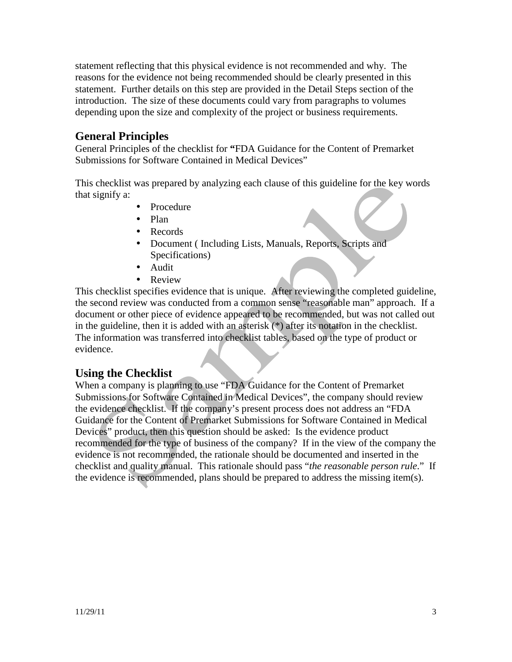statement reflecting that this physical evidence is not recommended and why. The reasons for the evidence not being recommended should be clearly presented in this statement. Further details on this step are provided in the Detail Steps section of the introduction. The size of these documents could vary from paragraphs to volumes depending upon the size and complexity of the project or business requirements.

## **General Principles**

General Principles of the checklist for **"**FDA Guidance for the Content of Premarket Submissions for Software Contained in Medical Devices"

This checklist was prepared by analyzing each clause of this guideline for the key words that signify a:

- Procedure
- Plan
- Records
- Document (Including Lists, Manuals, Reports, Scripts and Specifications)
- Audit
- Review

This checklist specifies evidence that is unique. After reviewing the completed guideline, the second review was conducted from a common sense "reasonable man" approach. If a document or other piece of evidence appeared to be recommended, but was not called out in the guideline, then it is added with an asterisk (\*) after its notation in the checklist. The information was transferred into checklist tables, based on the type of product or evidence.

#### **Using the Checklist**

When a company is planning to use "FDA Guidance for the Content of Premarket Submissions for Software Contained in Medical Devices", the company should review the evidence checklist. If the company's present process does not address an "FDA Guidance for the Content of Premarket Submissions for Software Contained in Medical Devices" product, then this question should be asked: Is the evidence product recommended for the type of business of the company? If in the view of the company the evidence is not recommended, the rationale should be documented and inserted in the checklist and quality manual. This rationale should pass "*the reasonable person rule*." If the evidence is recommended, plans should be prepared to address the missing item(s).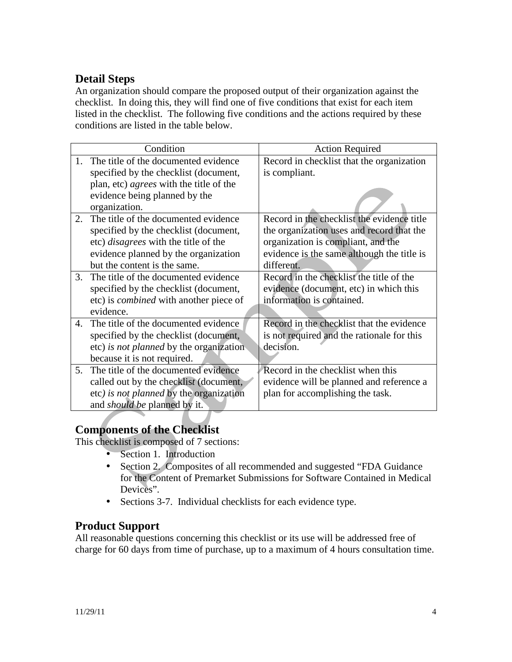# **Detail Steps**

An organization should compare the proposed output of their organization against the checklist. In doing this, they will find one of five conditions that exist for each item listed in the checklist. The following five conditions and the actions required by these conditions are listed in the table below.

|                        | Condition                                      | <b>Action Required</b>                     |  |  |  |
|------------------------|------------------------------------------------|--------------------------------------------|--|--|--|
| 1                      | The title of the documented evidence           | Record in checklist that the organization  |  |  |  |
|                        | specified by the checklist (document,          | is compliant.                              |  |  |  |
|                        | plan, etc) <i>agrees</i> with the title of the |                                            |  |  |  |
|                        | evidence being planned by the                  |                                            |  |  |  |
|                        | organization.                                  |                                            |  |  |  |
| $2^{\circ}$            | The title of the documented evidence           | Record in the checklist the evidence title |  |  |  |
|                        | specified by the checklist (document,          | the organization uses and record that the  |  |  |  |
|                        | etc) <i>disagrees</i> with the title of the    | organization is compliant, and the         |  |  |  |
|                        | evidence planned by the organization           | evidence is the same although the title is |  |  |  |
|                        | but the content is the same.                   | different.                                 |  |  |  |
| $\mathcal{R}_{\alpha}$ | The title of the documented evidence           | Record in the checklist the title of the   |  |  |  |
|                        | specified by the checklist (document,          | evidence (document, etc) in which this     |  |  |  |
|                        | etc) is <i>combined</i> with another piece of  | information is contained.                  |  |  |  |
|                        | evidence.                                      |                                            |  |  |  |
| 4.                     | The title of the documented evidence           | Record in the checklist that the evidence  |  |  |  |
|                        | specified by the checklist (document,          | is not required and the rationale for this |  |  |  |
|                        | etc) is not planned by the organization        | decision.                                  |  |  |  |
|                        | because it is not required.                    |                                            |  |  |  |
| .5                     | The title of the documented evidence           | Record in the checklist when this          |  |  |  |
|                        | called out by the checklist (document,         | evidence will be planned and reference a   |  |  |  |
|                        | etc) is not planned by the organization        | plan for accomplishing the task.           |  |  |  |
|                        | and <i>should be</i> planned by it.            |                                            |  |  |  |

# **Components of the Checklist**

This checklist is composed of 7 sections:

- Section 1. Introduction
- Section 2. Composites of all recommended and suggested "FDA Guidance for the Content of Premarket Submissions for Software Contained in Medical Devices".
- Sections 3-7. Individual checklists for each evidence type.

# **Product Support**

All reasonable questions concerning this checklist or its use will be addressed free of charge for 60 days from time of purchase, up to a maximum of 4 hours consultation time.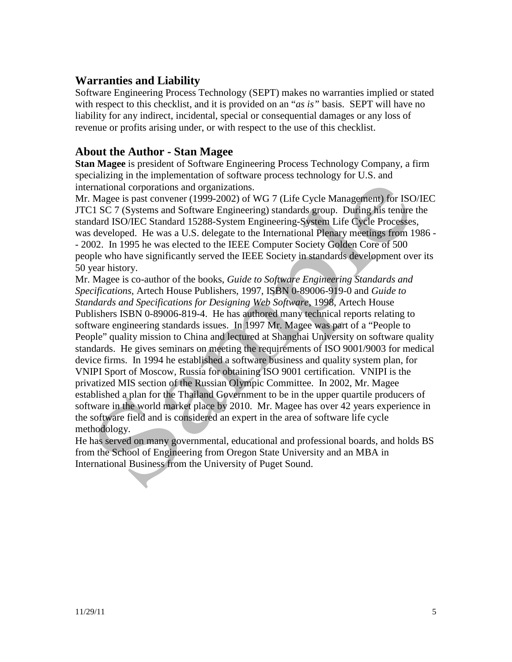## **Warranties and Liability**

Software Engineering Process Technology (SEPT) makes no warranties implied or stated with respect to this checklist, and it is provided on an "*as is"* basis. SEPT will have no liability for any indirect, incidental, special or consequential damages or any loss of revenue or profits arising under, or with respect to the use of this checklist.

### **About the Author - Stan Magee**

**Stan Magee** is president of Software Engineering Process Technology Company, a firm specializing in the implementation of software process technology for U.S. and international corporations and organizations.

Mr. Magee is past convener (1999-2002) of WG 7 (Life Cycle Management) for ISO/IEC JTC1 SC 7 (Systems and Software Engineering) standards group. During his tenure the standard ISO/IEC Standard 15288-System Engineering-System Life Cycle Processes, was developed. He was a U.S. delegate to the International Plenary meetings from 1986 - - 2002. In 1995 he was elected to the IEEE Computer Society Golden Core of 500 people who have significantly served the IEEE Society in standards development over its 50 year history.

Mr. Magee is co-author of the books, *Guide to Software Engineering Standards and Specifications*, Artech House Publishers, 1997, ISBN 0-89006-919-0 and *Guide to Standards and Specifications for Designing Web Software*, 1998, Artech House Publishers ISBN 0-89006-819-4. He has authored many technical reports relating to software engineering standards issues.In 1997 Mr. Magee was part of a "People to People" quality mission to China and lectured at Shanghai University on software quality standards. He gives seminars on meeting the requirements of ISO 9001/9003 for medical device firms. In 1994 he established a software business and quality system plan, for VNIPI Sport of Moscow, Russia for obtaining ISO 9001 certification. VNIPI is the privatized MIS section of the Russian Olympic Committee. In 2002, Mr. Magee established a plan for the Thailand Government to be in the upper quartile producers of software in the world market place by 2010. Mr. Magee has over 42 years experience in the software field and is considered an expert in the area of software life cycle methodology.

He has served on many governmental, educational and professional boards, and holds BS from the School of Engineering from Oregon State University and an MBA in International Business from the University of Puget Sound.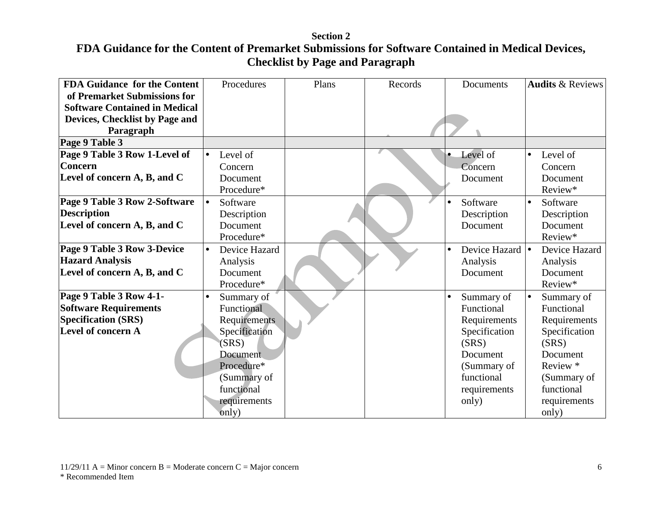| <b>FDA Guidance for the Content</b>  | Procedures                 | Plans | Records | Documents                                        | <b>Audits &amp; Reviews</b> |
|--------------------------------------|----------------------------|-------|---------|--------------------------------------------------|-----------------------------|
| of Premarket Submissions for         |                            |       |         |                                                  |                             |
| <b>Software Contained in Medical</b> |                            |       |         |                                                  |                             |
| Devices, Checklist by Page and       |                            |       |         |                                                  |                             |
| Paragraph                            |                            |       |         |                                                  |                             |
| Page 9 Table 3                       |                            |       |         |                                                  |                             |
| Page 9 Table 3 Row 1-Level of        | Level of<br>$\bullet$      |       |         | Level of                                         | Level of<br>$\bullet$       |
| <b>Concern</b>                       | Concern                    |       |         | Concern                                          | Concern                     |
| Level of concern A, B, and C         | Document                   |       |         | Document                                         | Document                    |
|                                      | Procedure*                 |       |         |                                                  | Review*                     |
| Page 9 Table 3 Row 2-Software        | Software<br>le.            |       |         | Software                                         | Software<br>$\bullet$       |
| <b>Description</b>                   | Description                |       |         | Description                                      | Description                 |
| Level of concern A, B, and C         | Document                   |       |         | Document                                         | Document                    |
|                                      | Procedure*                 |       |         |                                                  | Review*                     |
| Page 9 Table 3 Row 3-Device          | Device Hazard<br>$\bullet$ |       |         | Device Hazard $\vert \bullet \vert$<br>$\bullet$ | Device Hazard               |
| <b>Hazard Analysis</b>               | Analysis                   |       |         | Analysis                                         | Analysis                    |
| Level of concern A, B, and C         | Document                   |       |         | Document                                         | Document                    |
|                                      | Procedure*                 |       |         |                                                  | Review*                     |
| Page 9 Table 3 Row 4-1-              | Summary of<br>$\bullet$    |       |         | Summary of                                       | Summary of<br>$\bullet$     |
| <b>Software Requirements</b>         | Functional                 |       |         | Functional                                       | Functional                  |
| <b>Specification (SRS)</b>           | Requirements               |       |         | Requirements                                     | Requirements                |
| Level of concern A                   | Specification              |       |         | Specification                                    | Specification               |
|                                      | (SRS)                      |       |         | (SRS)                                            | (SRS)                       |
|                                      | <b>Document</b>            |       |         | Document                                         | Document                    |
|                                      | Procedure*                 |       |         | (Summary of                                      | Review *                    |
|                                      | (Summary of                |       |         | functional                                       | (Summary of                 |
|                                      | functional                 |       |         | requirements                                     | functional                  |
|                                      | requirements               |       |         | only)                                            | requirements                |
|                                      | only)                      |       |         |                                                  | only)                       |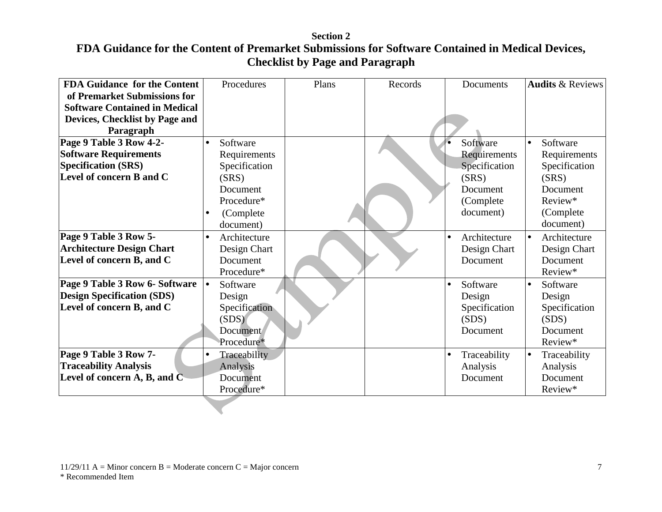| <b>FDA Guidance for the Content</b>  | Procedures                | Plans | Records | Documents                 | <b>Audits &amp; Reviews</b> |
|--------------------------------------|---------------------------|-------|---------|---------------------------|-----------------------------|
| of Premarket Submissions for         |                           |       |         |                           |                             |
| <b>Software Contained in Medical</b> |                           |       |         |                           |                             |
| Devices, Checklist by Page and       |                           |       |         |                           |                             |
| Paragraph                            |                           |       |         |                           |                             |
| Page 9 Table 3 Row 4-2-              | Software<br>$\bullet$     |       |         | Software                  | Software<br>$\bullet$       |
| <b>Software Requirements</b>         | Requirements              |       |         | Requirements              | Requirements                |
| <b>Specification (SRS)</b>           | Specification             |       |         | Specification             | Specification               |
| Level of concern B and C             | (SRS)                     |       |         | (SRS)                     | (SRS)                       |
|                                      | Document                  |       |         | Document                  | Document                    |
|                                      | Procedure*                |       |         | (Complete                 | Review*                     |
|                                      | (Complete)<br>$\bullet$   |       |         | document)                 | (Complete)                  |
|                                      | document)                 |       |         |                           | document)                   |
| Page 9 Table 3 Row 5-                | Architecture<br>$\bullet$ |       |         | Architecture              | Architecture<br>$\bullet$   |
| <b>Architecture Design Chart</b>     | Design Chart              |       |         | Design Chart              | Design Chart                |
| Level of concern B, and C            | Document                  |       |         | Document                  | Document                    |
|                                      | Procedure*                |       |         |                           | Review*                     |
| Page 9 Table 3 Row 6- Software       | Software<br>$\bullet$     |       |         | Software                  | Software<br>$\bullet$       |
| <b>Design Specification (SDS)</b>    | Design                    |       |         | Design                    | Design                      |
| Level of concern B, and C            | Specification             |       |         | Specification             | Specification               |
|                                      | (SDS)                     |       |         | (SDS)                     | (SDS)                       |
|                                      | <b>Document</b>           |       |         | Document                  | Document                    |
|                                      | Procedure*                |       |         |                           | Review*                     |
| Page 9 Table 3 Row 7-                | Traceability<br>$\bullet$ |       |         | Traceability<br>$\bullet$ | Traceability<br>$\bullet$   |
| <b>Traceability Analysis</b>         | Analysis                  |       |         | Analysis                  | Analysis                    |
| Level of concern A, B, and C         | Document                  |       |         | Document                  | Document                    |
|                                      | Procedure*                |       |         |                           | Review*                     |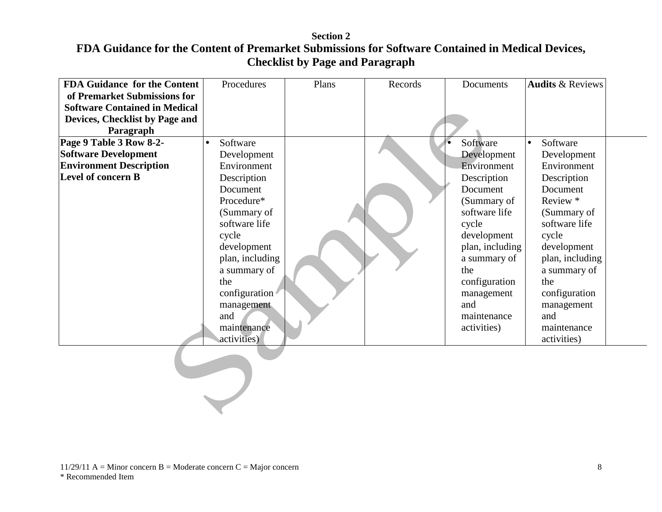| <b>FDA Guidance for the Content</b><br>of Premarket Submissions for | Procedures            | Plans | Records | Documents       | <b>Audits &amp; Reviews</b> |
|---------------------------------------------------------------------|-----------------------|-------|---------|-----------------|-----------------------------|
| <b>Software Contained in Medical</b>                                |                       |       |         |                 |                             |
| Devices, Checklist by Page and                                      |                       |       |         |                 |                             |
| Paragraph                                                           |                       |       |         |                 |                             |
| Page 9 Table 3 Row 8-2-                                             | Software<br>$\bullet$ |       |         | Software        | Software<br>$\bullet$       |
| <b>Software Development</b>                                         | Development           |       |         | Development     | Development                 |
| <b>Environment Description</b>                                      | Environment           |       |         | Environment     | Environment                 |
| Level of concern B                                                  | Description           |       |         | Description     | Description                 |
|                                                                     | Document              |       |         | Document        | Document                    |
|                                                                     | Procedure*            |       |         | (Summary of     | Review *                    |
|                                                                     | (Summary of           |       |         | software life   | (Summary of                 |
|                                                                     | software life         |       |         | cycle           | software life               |
|                                                                     | cycle                 |       |         | development     | cycle                       |
|                                                                     | development           |       |         | plan, including | development                 |
|                                                                     | plan, including       |       |         | a summary of    | plan, including             |
|                                                                     | a summary of          |       |         | the             | a summary of                |
|                                                                     | the                   |       |         | configuration   | the                         |
|                                                                     | configuration         |       |         | management      | configuration               |
|                                                                     | management            |       |         | and             | management                  |
|                                                                     | and                   |       |         | maintenance     | and                         |
|                                                                     | maintenance           |       |         | activities)     | maintenance                 |
|                                                                     | activities)           |       |         |                 | activities)                 |
|                                                                     |                       |       |         |                 |                             |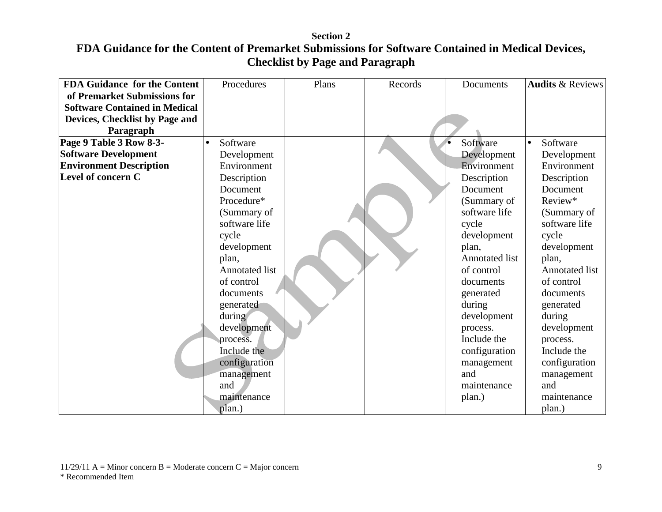| <b>FDA Guidance for the Content</b>  | Procedures            | Plans | Records | Documents             | <b>Audits &amp; Reviews</b> |
|--------------------------------------|-----------------------|-------|---------|-----------------------|-----------------------------|
| of Premarket Submissions for         |                       |       |         |                       |                             |
| <b>Software Contained in Medical</b> |                       |       |         |                       |                             |
| Devices, Checklist by Page and       |                       |       |         |                       |                             |
| Paragraph                            |                       |       |         |                       |                             |
| Page 9 Table 3 Row 8-3-              | Software<br>$\bullet$ |       |         | Software              | Software<br>$\bullet$       |
| <b>Software Development</b>          | Development           |       |         | Development           | Development                 |
| <b>Environment Description</b>       | Environment           |       |         | Environment           | Environment                 |
| Level of concern C                   | Description           |       |         | Description           | Description                 |
|                                      | Document              |       |         | Document              | Document                    |
|                                      | Procedure*            |       |         | (Summary of           | Review*                     |
|                                      | (Summary of           |       |         | software life         | (Summary of                 |
|                                      | software life         |       |         | cycle                 | software life               |
|                                      | cycle                 |       |         | development           | cycle                       |
|                                      | development           |       |         | plan,                 | development                 |
|                                      | plan,                 |       |         | <b>Annotated list</b> | plan,                       |
|                                      | <b>Annotated list</b> |       |         | of control            | <b>Annotated list</b>       |
|                                      | of control            |       |         | documents             | of control                  |
|                                      | documents             |       |         | generated             | documents                   |
|                                      | generated             |       |         | during                | generated                   |
|                                      | during                |       |         | development           | during                      |
|                                      | development           |       |         | process.              | development                 |
|                                      | process.              |       |         | Include the           | process.                    |
|                                      | Include the           |       |         | configuration         | Include the                 |
|                                      | configuration         |       |         | management            | configuration               |
|                                      | management            |       |         | and                   | management                  |
|                                      | and                   |       |         | maintenance           | and                         |
|                                      | maintenance           |       |         | plan.)                | maintenance                 |
|                                      | plan.)                |       |         |                       | plan.)                      |